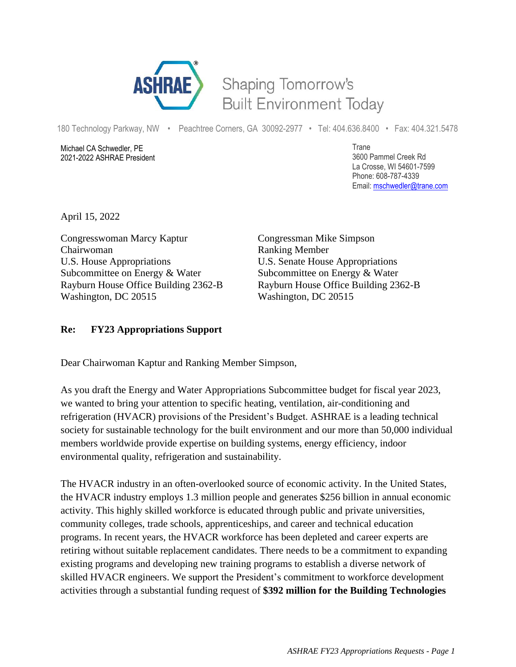

## Shaping Tomorrow's **Built Environment Today**

180 Technology Parkway, NW • Peachtree Corners, GA 30092-2977 • Tel: 404.636.8400 • Fax: 404.321.5478

Michael CA Schwedler, PE 2021-2022 ASHRAE President Trane 3600 Pammel Creek Rd La Crosse, WI 54601-7599 Phone: 608-787-4339 Email: [mschwedler@trane.com](about:blank)

April 15, 2022

Congresswoman Marcy Kaptur Congressman Mike Simpson Chairwoman Ranking Member U.S. House Appropriations U.S. Senate House Appropriations Subcommittee on Energy & Water Subcommittee on Energy & Water Rayburn House Office Building 2362-B Rayburn House Office Building 2362-B Washington, DC 20515 Washington, DC 20515

## **Re: FY23 Appropriations Support**

Dear Chairwoman Kaptur and Ranking Member Simpson,

As you draft the Energy and Water Appropriations Subcommittee budget for fiscal year 2023, we wanted to bring your attention to specific heating, ventilation, air-conditioning and refrigeration (HVACR) provisions of the President's Budget. ASHRAE is a leading technical society for sustainable technology for the built environment and our more than 50,000 individual members worldwide provide expertise on building systems, energy efficiency, indoor environmental quality, refrigeration and sustainability.

The HVACR industry in an often-overlooked source of economic activity. In the United States, the HVACR industry employs 1.3 million people and generates \$256 billion in annual economic activity. This highly skilled workforce is educated through public and private universities, community colleges, trade schools, apprenticeships, and career and technical education programs. In recent years, the HVACR workforce has been depleted and career experts are retiring without suitable replacement candidates. There needs to be a commitment to expanding existing programs and developing new training programs to establish a diverse network of skilled HVACR engineers. We support the President's commitment to workforce development activities through a substantial funding request of **\$392 million for the Building Technologies**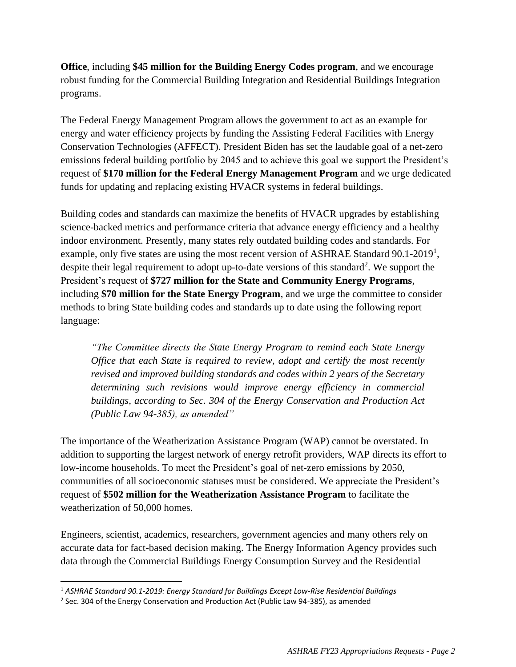**Office**, including **\$45 million for the Building Energy Codes program**, and we encourage robust funding for the Commercial Building Integration and Residential Buildings Integration programs.

The Federal Energy Management Program allows the government to act as an example for energy and water efficiency projects by funding the Assisting Federal Facilities with Energy Conservation Technologies (AFFECT). President Biden has set the laudable goal of a net-zero emissions federal building portfolio by 2045 and to achieve this goal we support the President's request of **\$170 million for the Federal Energy Management Program** and we urge dedicated funds for updating and replacing existing HVACR systems in federal buildings.

Building codes and standards can maximize the benefits of HVACR upgrades by establishing science-backed metrics and performance criteria that advance energy efficiency and a healthy indoor environment. Presently, many states rely outdated building codes and standards. For example, only five states are using the most recent version of ASHRAE Standard 90.1-2019<sup>1</sup>, despite their legal requirement to adopt up-to-date versions of this standard<sup>2</sup>. We support the President's request of **\$727 million for the State and Community Energy Programs**, including **\$70 million for the State Energy Program**, and we urge the committee to consider methods to bring State building codes and standards up to date using the following report language:

*"The Committee directs the State Energy Program to remind each State Energy Office that each State is required to review, adopt and certify the most recently revised and improved building standards and codes within 2 years of the Secretary determining such revisions would improve energy efficiency in commercial buildings, according to Sec. 304 of the Energy Conservation and Production Act (Public Law 94-385), as amended"*

The importance of the Weatherization Assistance Program (WAP) cannot be overstated. In addition to supporting the largest network of energy retrofit providers, WAP directs its effort to low-income households. To meet the President's goal of net-zero emissions by 2050, communities of all socioeconomic statuses must be considered. We appreciate the President's request of **\$502 million for the Weatherization Assistance Program** to facilitate the weatherization of 50,000 homes.

Engineers, scientist, academics, researchers, government agencies and many others rely on accurate data for fact-based decision making. The Energy Information Agency provides such data through the Commercial Buildings Energy Consumption Survey and the Residential

<sup>1</sup> *ASHRAE Standard 90.1-2019: Energy Standard for Buildings Except Low-Rise Residential Buildings*

<sup>&</sup>lt;sup>2</sup> Sec. 304 of the Energy Conservation and Production Act (Public Law 94-385), as amended